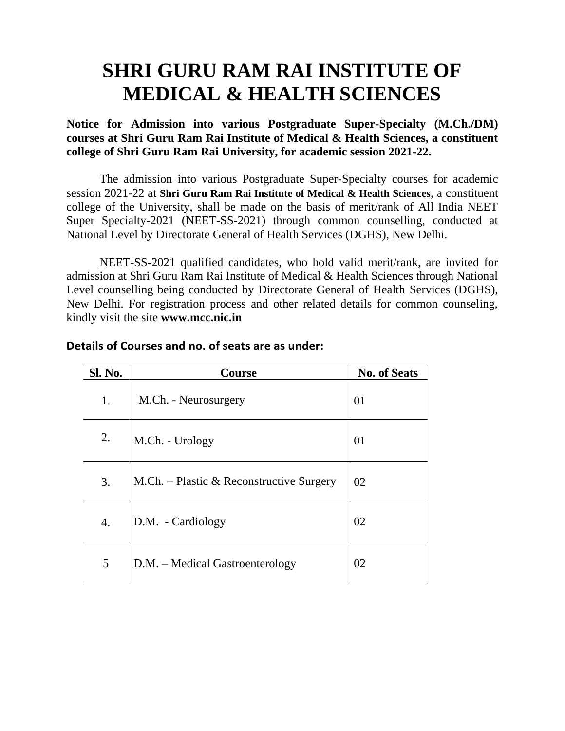# **SHRI GURU RAM RAI INSTITUTE OF MEDICAL & HEALTH SCIENCES**

**Notice for Admission into various Postgraduate Super-Specialty (M.Ch./DM) courses at Shri Guru Ram Rai Institute of Medical & Health Sciences, a constituent college of Shri Guru Ram Rai University, for academic session 2021-22.** 

The admission into various Postgraduate Super-Specialty courses for academic session 2021-22 at **Shri Guru Ram Rai Institute of Medical & Health Sciences**, a constituent college of the University, shall be made on the basis of merit/rank of All India NEET Super Specialty-2021 (NEET-SS-2021) through common counselling, conducted at National Level by Directorate General of Health Services (DGHS), New Delhi.

NEET-SS-2021 qualified candidates, who hold valid merit/rank, are invited for admission at Shri Guru Ram Rai Institute of Medical & Health Sciences through National Level counselling being conducted by Directorate General of Health Services (DGHS), New Delhi. For registration process and other related details for common counseling, kindly visit the site **www.mcc.nic.in** 

| Sl. No. | <b>Course</b>                            | <b>No. of Seats</b> |
|---------|------------------------------------------|---------------------|
| 1.      | M.Ch. - Neurosurgery                     | 01                  |
| 2.      | M.Ch. - Urology                          | 01                  |
| 3.      | M.Ch. – Plastic & Reconstructive Surgery | 02                  |
| 4.      | D.M. - Cardiology                        | 02                  |
| 5       | D.M. – Medical Gastroenterology          | 02                  |

#### **Details of Courses and no. of seats are as under:**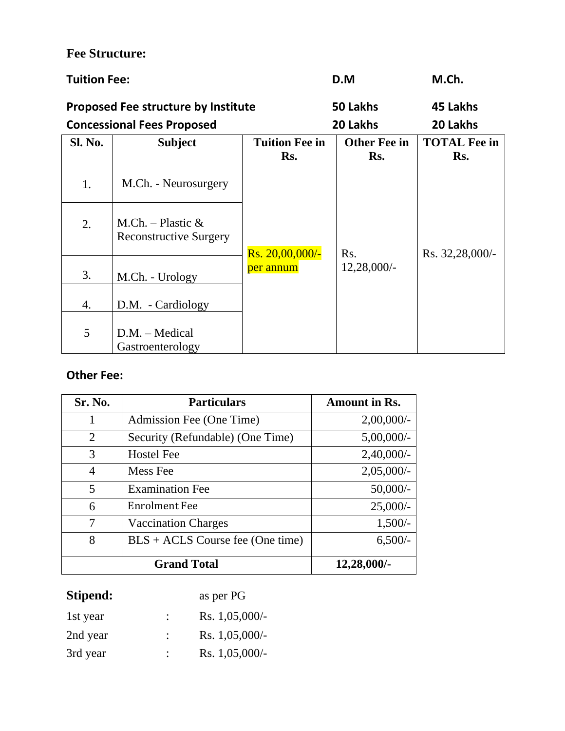## **Fee Structure:**

| <b>Tuition Fee:</b>                        |                                                       |                              | D.M                        | M.Ch.                      |
|--------------------------------------------|-------------------------------------------------------|------------------------------|----------------------------|----------------------------|
| <b>Proposed Fee structure by Institute</b> |                                                       |                              | 50 Lakhs                   | 45 Lakhs                   |
|                                            | <b>Concessional Fees Proposed</b>                     |                              | 20 Lakhs                   | 20 Lakhs                   |
| Sl. No.                                    | <b>Subject</b>                                        | <b>Tuition Fee in</b><br>Rs. | <b>Other Fee in</b><br>Rs. | <b>TOTAL Fee in</b><br>Rs. |
| 1.                                         | M.Ch. - Neurosurgery                                  |                              |                            |                            |
| 2.                                         | M.Ch. – Plastic $\&$<br><b>Reconstructive Surgery</b> | Rs. 20,00,000/-              | R <sub>s</sub> .           | Rs. 32,28,000/-            |
| 3.                                         | M.Ch. - Urology                                       | per annum                    | 12,28,000/                 |                            |
| 4.                                         | D.M. - Cardiology                                     |                              |                            |                            |
| 5                                          | $D.M. - Medical$<br>Gastroenterology                  |                              |                            |                            |

### **Other Fee:**

| Sr. No.        | <b>Particulars</b>                 | <b>Amount in Rs.</b> |
|----------------|------------------------------------|----------------------|
| 1              | Admission Fee (One Time)           | 2,00,000/            |
| $\overline{2}$ | Security (Refundable) (One Time)   | $5,00,000/$ -        |
| 3              | <b>Hostel Fee</b>                  | $2,40,000/$ -        |
| $\overline{4}$ | Mess Fee                           | $2,05,000/-$         |
| 5              | <b>Examination Fee</b>             | $50,000/-$           |
| 6              | <b>Enrolment Fee</b>               | $25,000/-$           |
| 7              | <b>Vaccination Charges</b>         | $1,500/-$            |
| 8              | $BLS + ACLS$ Course fee (One time) | $6,500/-$            |
|                | <b>Grand Total</b>                 | $12,28,000/$ -       |

## Stipend: as per PG

| 1st year | ٠ | Rs. $1,05,000/-$ |
|----------|---|------------------|
| 2nd year |   | Rs. $1,05,000/-$ |
| 3rd year | ٠ | Rs. $1,05,000/-$ |